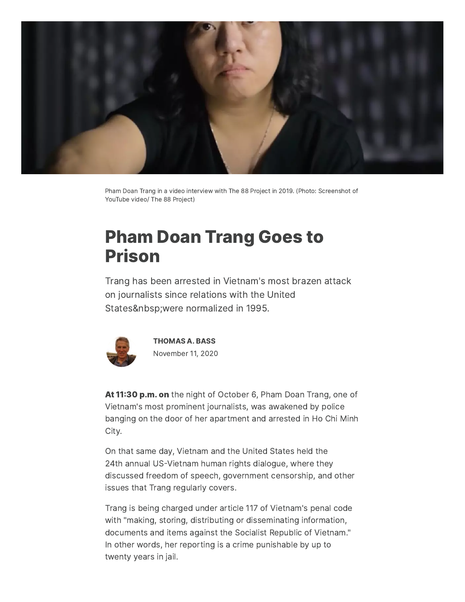

Pham Doan Trang in a video interview with The 88 Project in 2019. (Photo: Screenshot of YouTube video/ The 88 Project)

# Pham Doan Trang Goes to Prison

Trang has been arrested in Vietnam's most brazen attack on journalists since relations with the United States were normalized in 1995.



[THOMAS](https://www.commondreams.org/author/thomas-bass) A. BASS November 11, 2020

At 11:30 p.m. on the night of October 6, Pham Doan Trang, one of Vietnam's most prominent journalists, was awakened by police banging on the door of her apartment and arrested in Ho Chi Minh City.

On that same day, Vietnam and the United States held the 24th annual US-Vietnam human rights dialogue, where they discussed freedom of speech, government censorship, and other issues that Trang regularly covers.

Trang is being charged under article 117 of Vietnam's penal code with "making, storing, distributing or disseminating information, documents and items against the Socialist Republic of Vietnam." In other words, her reporting is a crime punishable by up to twenty years in jail.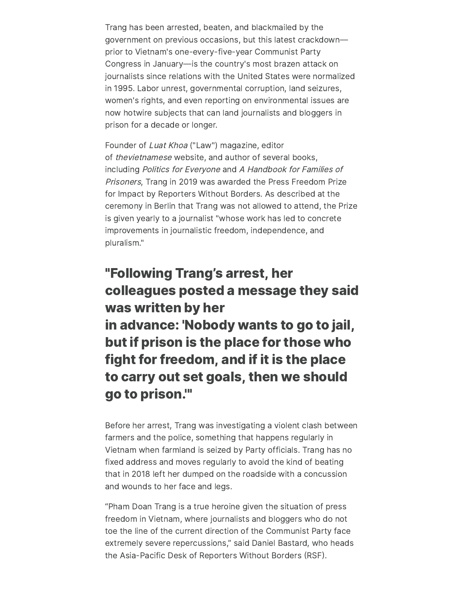Trang has been arrested, beaten, and blackmailed by the government on previous occasions, but this latest crackdown prior to Vietnam's one-every-five-year Communist Party Congress in January—is the country's most brazen attack on journalists since relations with the United States were normalized in 1995. Labor unrest, governmental corruption, land seizures, women's rights, and even reporting on environmental issues are now hotwire subjects that can land journalists and bloggers in prison for a decade or longer.

Founder of Luat Khoa ("Law") magazine, editor of thevietnamese website, and author of several books, including Politics for Everyone and <sup>A</sup> Handbook for Families of Prisoners, Trang in 2019 was awarded the Press Freedom Prize for Impact by Reporters Without Borders. As described at the ceremony in Berlin that Trang was not allowed to attend, the Prize is given yearly to a journalist "whose work has led to concrete improvements in journalistic freedom, independence, and pluralism."

## "Following Trang's arrest, her colleagues posted a message they said was written by her in advance: 'Nobody wants to go to jail, but if prison is the place for those who fight for freedom, and if it is the place to carry out set goals, then we should go to prison.'"

Before her arrest, Trang was investigating a violent clash between farmers and the police, something that happens regularly in Vietnam when farmland is seized by Party officials. Trang has no fixed address and moves regularly to avoid the kind of beating that in 2018 left her dumped on the roadside with a concussion and wounds to her face and legs.

"Pham Doan Trang is a true heroine given the situation of press freedom in Vietnam, where journalists and bloggers who do not toe the line of the current direction of the Communist Party face extremely severe repercussions," said Daniel Bastard, who heads the Asia-Pacific Desk of Reporters Without Borders (RSF).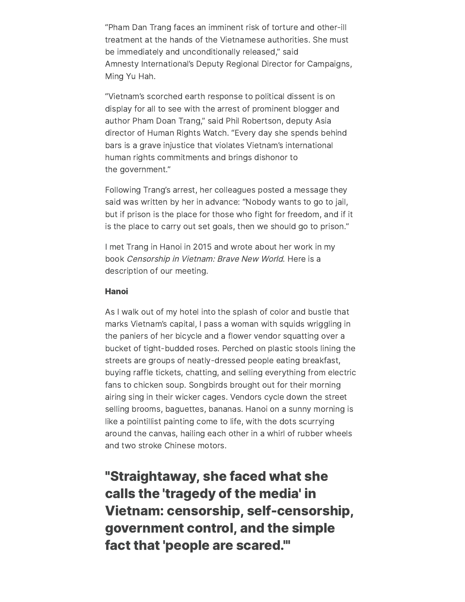"Pham Dan Trang faces an imminent risk of torture and other-ill treatment at the hands of the Vietnamese authorities. She must be immediately and unconditionally released," said Amnesty International's Deputy Regional Director for Campaigns, Ming Yu Hah.

"Vietnam's scorched earth response to political dissent is on display for all to see with the arrest of prominent blogger and author Pham Doan Trang," said Phil Robertson, deputy Asia director of Human Rights Watch. "Every day she spends behind bars is a grave injustice that violates Vietnam's international human rights commitments and brings dishonor to the government."

Following Trang's arrest, her colleagues posted a message they said was written by her in advance: "Nobody wants to go to jail, but if prison is the place for those who fight for freedom, and if it is the place to carry out set goals, then we should go to prison."

I met Trang in Hanoi in 2015 and wrote about her work in my book Censorship in Vietnam: Brave New World. Here is a description of our meeting.

### Hanoi

As I walk out of my hotel into the splash of color and bustle that marks Vietnam's capital, I pass a woman with squids wriggling in the paniers of her bicycle and a flower vendor squatting over a bucket of tight-budded roses. Perched on plastic stools lining the streets are groups of neatly-dressed people eating breakfast, buying raffle tickets, chatting, and selling everything from electric fans to chicken soup. Songbirds brought out for their morning airing sing in their wicker cages. Vendors cycle down the street selling brooms, baguettes, bananas. Hanoi on a sunny morning is like a pointillist painting come to life, with the dots scurrying around the canvas, hailing each other in a whirl of rubber wheels and two stroke Chinese motors.

"Straightaway, she faced what she calls the 'tragedy of the media' in Vietnam: censorship, self-censorship, government control, and the simple fact that 'people are scared.'"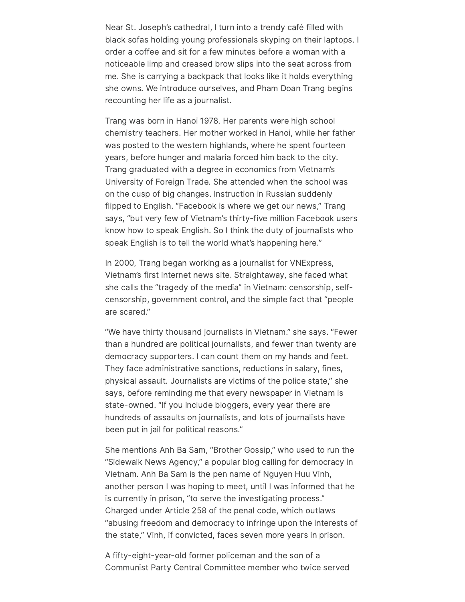Near St. Joseph's cathedral, I turn into a trendy café filled with black sofas holding young professionals skyping on their laptops. I order a coffee and sit for a few minutes before a woman with a noticeable limp and creased brow slips into the seat across from me. She is carrying a backpack that looks like it holds everything she owns. We introduce ourselves, and Pham Doan Trang begins recounting her life as a journalist.

Trang was born in Hanoi 1978. Her parents were high school chemistry teachers. Her mother worked in Hanoi, while her father was posted to the western highlands, where he spent fourteen years, before hunger and malaria forced him back to the city. Trang graduated with a degree in economics from Vietnam's University of Foreign Trade. She attended when the school was on the cusp of big changes. Instruction in Russian suddenly flipped to English. "Facebook is where we get our news," Trang says, "but very few of Vietnam's thirty-five million Facebook users know how to speak English. So I think the duty of journalists who speak English is to tell the world what's happening here."

In 2000, Trang began working as a journalist for VNExpress, Vietnam's first internet news site. Straightaway, she faced what she calls the "tragedy of the media" in Vietnam: censorship, selfcensorship, government control, and the simple fact that "people are scared."

"We have thirty thousand journalists in Vietnam." she says. "Fewer than a hundred are political journalists, and fewer than twenty are democracy supporters. I can count them on my hands and feet. They face administrative sanctions, reductions in salary, fines, physical assault. Journalists are victims of the police state," she says, before reminding me that every newspaper in Vietnam is state-owned. "If you include bloggers, every year there are hundreds of assaults on journalists, and lots of journalists have been put in jail for political reasons."

She mentions Anh Ba Sam, "Brother Gossip," who used to run the "Sidewalk News Agency," a popular blog calling for democracy in Vietnam. Anh Ba Sam is the pen name of Nguyen Huu Vinh, another person I was hoping to meet, until I was informed that he is currently in prison, "to serve the investigating process." Charged under Article 258 of the penal code, which outlaws "abusing freedom and democracy to infringe upon the interests of the state," Vinh, if convicted, faces seven more years in prison.

A fifty-eight-year-old former policeman and the son of a Communist Party Central Committee member who twice served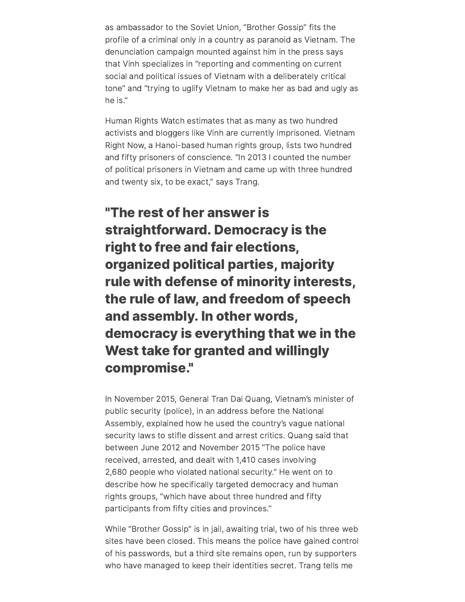as ambassador to the Soviet Union, "Brother Gossip" fits the profile of a criminal only in a country as paranoid as Vietnam. The denunciation campaign mounted against him in the press says that Vinh specializes in "reporting and commenting on current social and political issues of Vietnam with a deliberately critical tone" and "trying to uglify Vietnam to make her as bad and ugly as he is."

Human Rights Watch estimates that as many as two hundred activists and bloggers like Vinh are currently imprisoned. Vietnam Right Now, a Hanoi-based human rights group, lists two hundred and fifty prisoners of conscience. "In 2013 I counted the number of political prisoners in Vietnam and came up with three hundred and twenty six, to be exact," says Trang.

"The rest of her answer is straightforward. Democracy is the right to free and fair elections, organized political parties, majority rule with defense of minority interests, the rule of law, and freedom of speech and assembly. In other words, democracy is everything that we in the West take for granted and willingly compromise."

In November 2015, General Tran Dai Quang, Vietnam's minister of public security (police), in an address before the National Assembly, explained how he used the country's vague national security laws to stifle dissent and arrest critics. Quang said that between June 2012 and November 2015 "The police have received, arrested, and dealt with 1,410 cases involving 2,680 people who violated national security." He went on to describe how he specifically targeted democracy and human rights groups, "which have about three hundred and fifty participants from fifty cities and provinces."

While "Brother Gossip" is in jail, awaiting trial, two of his three web sites have been closed. This means the police have gained control of his passwords, but a third site remains open, run by supporters who have managed to keep their identities secret. Trang tells me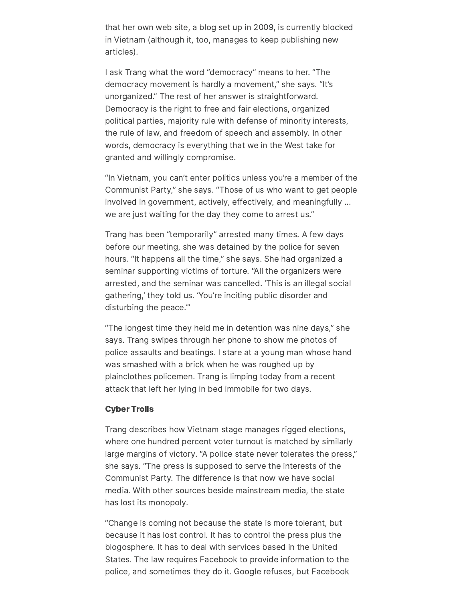that her own web site, a blog set up in 2009, is currently blocked in Vietnam (although it, too, manages to keep publishing new articles).

I ask Trang what the word "democracy" means to her. "The democracy movement is hardly a movement," she says. "It's unorganized." The rest of her answer is straightforward. Democracy is the right to free and fair elections, organized political parties, majority rule with defense of minority interests, the rule of law, and freedom of speech and assembly. In other words, democracy is everything that we in the West take for granted and willingly compromise.

"In Vietnam, you can't enter politics unless you're a member of the Communist Party," she says. "Those of us who want to get people involved in government, actively, effectively, and meaningfully ... we are just waiting for the day they come to arrest us."

Trang has been "temporarily" arrested many times. A few days before our meeting, she was detained by the police for seven hours. "It happens all the time," she says. She had organized a seminar supporting victims of torture. "All the organizers were arrested, and the seminar was cancelled. 'This is an illegal social gathering,' they told us. 'You're inciting public disorder and disturbing the peace.'"

"The longest time they held me in detention was nine days," she says. Trang swipes through her phone to show me photos of police assaults and beatings. I stare at a young man whose hand was smashed with a brick when he was roughed up by plainclothes policemen. Trang is limping today from a recent attack that left her lying in bed immobile for two days.

#### Cyber Trolls

Trang describes how Vietnam stage manages rigged elections, where one hundred percent voter turnout is matched by similarly large margins of victory. "A police state never tolerates the press," she says. "The press is supposed to serve the interests of the Communist Party. The difference is that now we have social media. With other sources beside mainstream media, the state has lost its monopoly.

"Change is coming not because the state is more tolerant, but because it has lost control. It has to control the press plus the blogosphere. It has to deal with services based in the United States. The law requires Facebook to provide information to the police, and sometimes they do it. Google refuses, but Facebook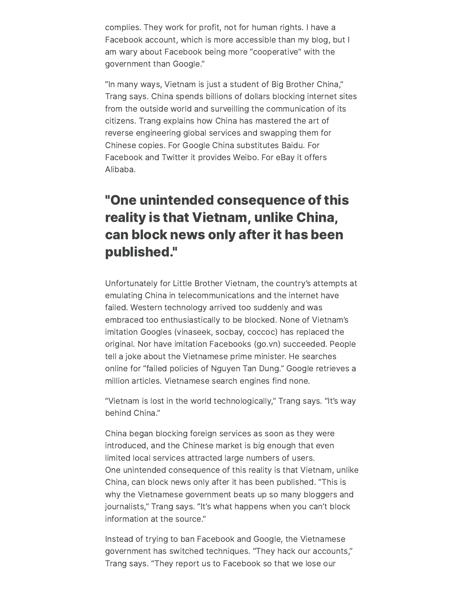complies. They work for profit, not for human rights. I have a Facebook account, which is more accessible than my blog, but I am wary about Facebook being more "cooperative" with the government than Google."

"In many ways, Vietnam is just a student of Big Brother China," Trang says. China spends billions of dollars blocking internet sites from the outside world and surveilling the communication of its citizens. Trang explains how China has mastered the art of reverse engineering global services and swapping them for Chinese copies. For Google China substitutes Baidu. For Facebook and Twitter it provides Weibo. For eBay it offers Alibaba.

### "One unintended consequence of this reality is that Vietnam, unlike China, can block news only after it has been published."

Unfortunately for Little Brother Vietnam, the country's attempts at emulating China in telecommunications and the internet have failed. Western technology arrived too suddenly and was embraced too enthusiastically to be blocked. None of Vietnam's imitation Googles (vinaseek, socbay, coccoc) has replaced the original. Nor have imitation Facebooks (go.vn) succeeded. People tell a joke about the Vietnamese prime minister. He searches online for "failed policies of Nguyen Tan Dung." Google retrieves a million articles. Vietnamese search engines find none.

"Vietnam is lost in the world technologically," Trang says. "It's way behind China."

China began blocking foreign services as soon as they were introduced, and the Chinese market is big enough that even limited local services attracted large numbers of users. One unintended consequence of this reality is that Vietnam, unlike China, can block news only after it has been published. "This is why the Vietnamese government beats up so many bloggers and journalists," Trang says. "It's what happens when you can't block information at the source."

Instead of trying to ban Facebook and Google, the Vietnamese government has switched techniques. "They hack our accounts," Trang says. "They report us to Facebook so that we lose our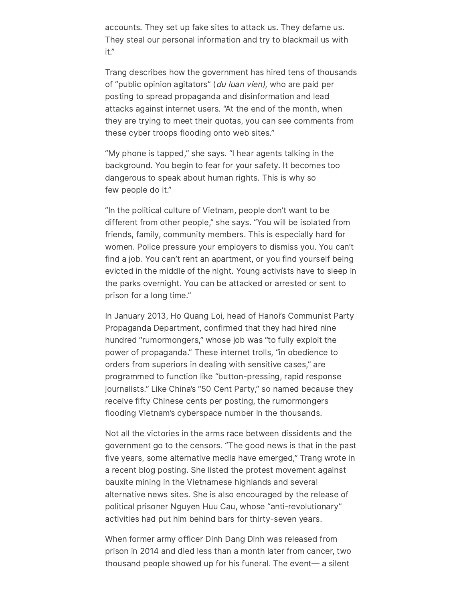accounts. They set up fake sites to attack us. They defame us. They steal our personal information and try to blackmail us with it."

Trang describes how the government has hired tens of thousands of "public opinion agitators" (du luan vien), who are paid per posting to spread propaganda and disinformation and lead attacks against internet users. "At the end of the month, when they are trying to meet their quotas, you can see comments from these cyber troops flooding onto web sites."

"My phone is tapped," she says. "I hear agents talking in the background. You begin to fear for your safety. It becomes too dangerous to speak about human rights. This is why so few people do it."

"In the political culture of Vietnam, people don't want to be different from other people," she says. "You will be isolated from friends, family, community members. This is especially hard for women. Police pressure your employers to dismiss you. You can't find a job. You can't rent an apartment, or you find yourself being evicted in the middle of the night. Young activists have to sleep in the parks overnight. You can be attacked or arrested or sent to prison for a long time."

In January 2013, Ho Quang Loi, head of Hanoi's Communist Party Propaganda Department, confirmed that they had hired nine hundred "rumormongers," whose job was "to fully exploit the power of propaganda." These internet trolls, "in obedience to orders from superiors in dealing with sensitive cases," are programmed to function like "button-pressing, rapid response journalists." Like China's "50 Cent Party," so named because they receive fifty Chinese cents per posting, the rumormongers flooding Vietnam's cyberspace number in the thousands.

Not all the victories in the arms race between dissidents and the government go to the censors. "The good news is that in the past five years, some alternative media have emerged," Trang wrote in a recent blog posting. She listed the protest movement against bauxite mining in the Vietnamese highlands and several alternative news sites. She is also encouraged by the release of political prisoner Nguyen Huu Cau, whose "anti-revolutionary" activities had put him behind bars for thirty-seven years.

When former army officer Dinh Dang Dinh was released from prison in 2014 and died less than a month later from cancer, two thousand people showed up for his funeral. The event— a silent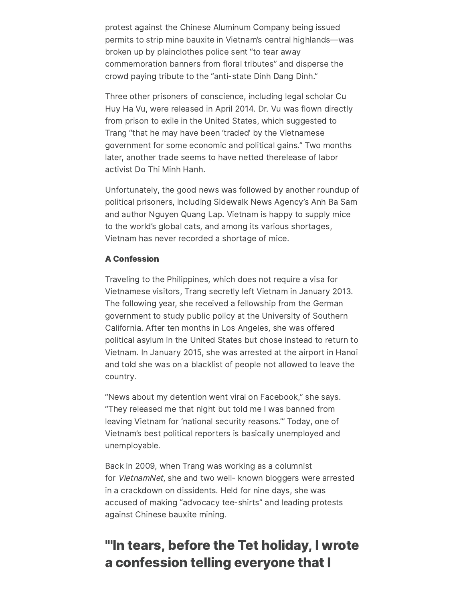protest against the Chinese Aluminum Company being issued permits to strip mine bauxite in Vietnam's central highlands—was broken up by plainclothes police sent "to tear away commemoration banners from floral tributes" and disperse the crowd paying tribute to the "anti-state Dinh Dang Dinh."

Three other prisoners of conscience, including legal scholar Cu Huy Ha Vu, were released in April 2014. Dr. Vu was flown directly from prison to exile in the United States, which suggested to Trang "that he may have been 'traded' by the Vietnamese government for some economic and political gains." Two months later, another trade seems to have netted therelease of labor activist Do Thi Minh Hanh.

Unfortunately, the good news was followed by another roundup of political prisoners, including Sidewalk News Agency's Anh Ba Sam and author Nguyen Quang Lap. Vietnam is happy to supply mice to the world's global cats, and among its various shortages, Vietnam has never recorded a shortage of mice.

### A Confession

Traveling to the Philippines, which does not require a visa for Vietnamese visitors, Trang secretly left Vietnam in January 2013. The following year, she received a fellowship from the German government to study public policy at the University of Southern California. After ten months in Los Angeles, she was offered political asylum in the United States but chose instead to return to Vietnam. In January 2015, she was arrested at the airport in Hanoi and told she was on a blacklist of people not allowed to leave the country.

"News about my detention went viral on Facebook," she says. "They released me that night but told me I was banned from leaving Vietnam for 'national security reasons.'" Today, one of Vietnam's best political reporters is basically unemployed and unemployable.

Back in 2009, when Trang was working as a columnist for VietnamNet, she and two well- known bloggers were arrested in a crackdown on dissidents. Held for nine days, she was accused of making "advocacy tee-shirts" and leading protests against Chinese bauxite mining.

### "'In tears, before the Tet holiday, I wrote a confession telling everyone that I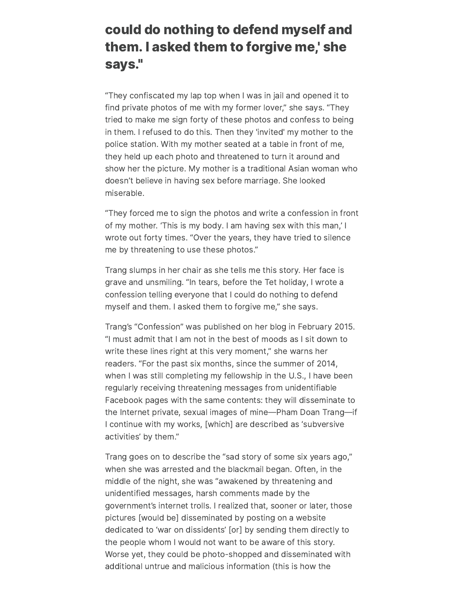### could do nothing to defend myself and them. I asked them to forgive me, ' she says."

"They confiscated my lap top when I was in jail and opened it to find private photos of me with my former lover," she says. "They tried to make me sign forty of these photos and confess to being in them. I refused to do this. Then they 'invited' my mother to the police station. With my mother seated at a table in front of me, they held up each photo and threatened to turn it around and show her the picture. My mother is a traditional Asian woman who doesn't believe in having sex before marriage. She looked miserable.

"They forced me to sign the photos and write a confession in front of my mother. 'This is my body. I am having sex with this man,' I wrote out forty times. "Over the years, they have tried to silence me by threatening to use these photos."

Trang slumps in her chair as she tells me this story. Her face is grave and unsmiling. "In tears, before the Tet holiday, I wrote a confession telling everyone that I could do nothing to defend myself and them. I asked them to forgive me," she says.

Trang's "Confession" was published on her blog in February 2015. "I must admit that I am not in the best of moods as I sit down to write these lines right at this very moment," she warns her readers. "For the past six months, since the summer of 2014, when I was still completing my fellowship in the U.S., I have been regularly receiving threatening messages from unidentifiable Facebook pages with the same contents: they will disseminate to the Internet private, sexual images of mine—Pham Doan Trang—if I continue with my works, [which] are described as 'subversive activities' by them."

Trang goes on to describe the "sad story of some six years ago," when she was arrested and the blackmail began. Often, in the middle of the night, she was "awakened by threatening and unidentified messages, harsh comments made by the government's internet trolls. I realized that, sooner or later, those pictures [would be] disseminated by posting on a website dedicated to 'war on dissidents' [or] by sending them directly to the people whom I would not want to be aware of this story. Worse yet, they could be photo-shopped and disseminated with additional untrue and malicious information (this is how the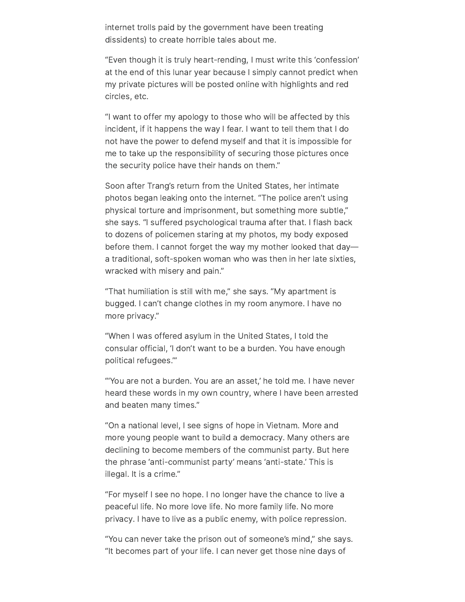internet trolls paid by the government have been treating dissidents) to create horrible tales about me.

"Even though it is truly heart-rending, I must write this 'confession' at the end of this lunar year because I simply cannot predict when my private pictures will be posted online with highlights and red circles, etc.

"I want to offer my apology to those who will be affected by this incident, if it happens the way I fear. I want to tell them that I do not have the power to defend myself and that it is impossible for me to take up the responsibility of securing those pictures once the security police have their hands on them."

Soon after Trang's return from the United States, her intimate photos began leaking onto the internet. "The police aren't using physical torture and imprisonment, but something more subtle," she says. "I suffered psychological trauma after that. I flash back to dozens of policemen staring at my photos, my body exposed before them. I cannot forget the way my mother looked that day a traditional, soft-spoken woman who was then in her late sixties, wracked with misery and pain."

"That humiliation is still with me," she says. "My apartment is bugged. I can't change clothes in my room anymore. I have no more privacy."

"When I was offered asylum in the United States, I told the consular official, 'I don't want to be a burden. You have enough political refugees.'"

"'You are not a burden. You are an asset,' he told me. I have never heard these words in my own country, where I have been arrested and beaten many times."

"On a national level, I see signs of hope in Vietnam. More and more young people want to build a democracy. Many others are declining to become members of the communist party. But here the phrase 'anti-communist party' means 'anti-state.' This is illegal. It is a crime."

"For myself I see no hope. I no longer have the chance to live a peaceful life. No more love life. No more family life. No more privacy. I have to live as a public enemy, with police repression.

"You can never take the prison out of someone's mind," she says. "It becomes part of your life. I can never get those nine days of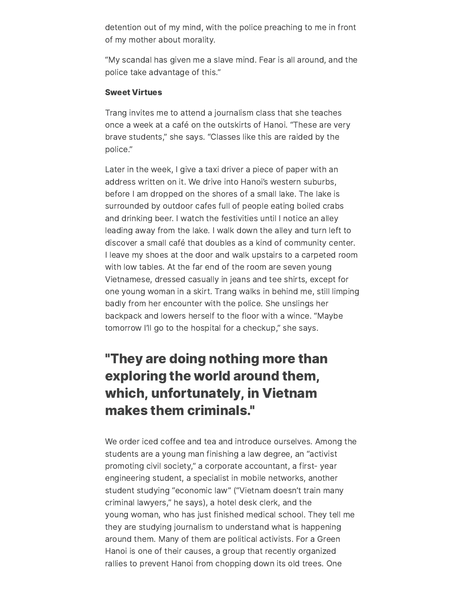detention out of my mind, with the police preaching to me in front of my mother about morality.

"My scandal has given me a slave mind. Fear is all around, and the police take advantage of this."

### Sweet Virtues

Trang invites me to attend a journalism class that she teaches once a week at a café on the outskirts of Hanoi. "These are very brave students," she says. "Classes like this are raided by the police."

Later in the week, I give a taxi driver a piece of paper with an address written on it. We drive into Hanoi's western suburbs, before I am dropped on the shores of a small lake. The lake is surrounded by outdoor cafes full of people eating boiled crabs and drinking beer. I watch the festivities until I notice an alley leading away from the lake. I walk down the alley and turn left to discover a small café that doubles as a kind of community center. I leave my shoes at the door and walk upstairs to a carpeted room with low tables. At the far end of the room are seven young Vietnamese, dressed casually in jeans and tee shirts, except for one young woman in a skirt. Trang walks in behind me, still limping badly from her encounter with the police. She unslings her backpack and lowers herself to the floor with a wince. "Maybe tomorrow I'll go to the hospital for a checkup," she says.

### "They are doing nothing more than exploring the world around them, which, unfortunately, in Vietnam makes them criminals."

We order iced coffee and tea and introduce ourselves. Among the students are a young man finishing a law degree, an "activist promoting civil society," a corporate accountant, a first- year engineering student, a specialist in mobile networks, another student studying "economic law" ("Vietnam doesn't train many criminal lawyers," he says), a hotel desk clerk, and the young woman, who has just finished medical school. They tell me they are studying journalism to understand what is happening around them. Many of them are political activists. For a Green Hanoi is one of their causes, a group that recently organized rallies to prevent Hanoi from chopping down its old trees. One